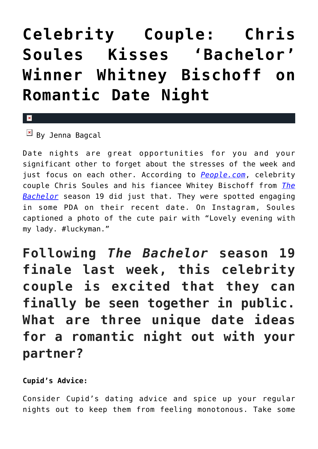## **[Celebrity Couple: Chris](https://cupidspulse.com/88943/celebrity-couple-chris-soules-kisses-bachelor-winner-whitney-bischoff/) [Soules Kisses 'Bachelor'](https://cupidspulse.com/88943/celebrity-couple-chris-soules-kisses-bachelor-winner-whitney-bischoff/) [Winner Whitney Bischoff on](https://cupidspulse.com/88943/celebrity-couple-chris-soules-kisses-bachelor-winner-whitney-bischoff/) [Romantic Date Night](https://cupidspulse.com/88943/celebrity-couple-chris-soules-kisses-bachelor-winner-whitney-bischoff/)**

## $\vert \mathbf{x} \vert$

 $\overline{B}$  By Jenna Bagcal

Date nights are great opportunities for you and your significant other to forget about the stresses of the week and just focus on each other. According to *[People.com](http://www.people.com/article/bachelor-chris-soules-whitney-bischoff-date-night-photo)*, celebrity couple Chris Soules and his fiancee Whitey Bischoff from *[The](http://cupidspulse.com/celebrity-news/reality-tv/the-bachelor/) [Bachelor](http://cupidspulse.com/celebrity-news/reality-tv/the-bachelor/)* season 19 did just that. They were spotted engaging in some PDA on their recent date. On Instagram, Soules captioned a photo of the cute pair with "Lovely evening with my lady. #luckyman."

**Following** *The Bachelor* **season 19 finale last week, this celebrity couple is excited that they can finally be seen together in public. What are three unique date ideas for a romantic night out with your partner?**

## **Cupid's Advice:**

Consider Cupid's dating advice and spice up your regular nights out to keep them from feeling monotonous. Take some